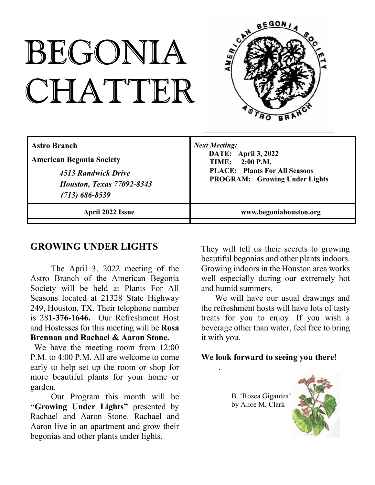# BEGONIA CHATTER



| <b>Astro Branch</b>              | <b>Next Meeting:</b>                 |
|----------------------------------|--------------------------------------|
| <b>American Begonia Society</b>  | <b>DATE:</b> April 3, 2022           |
| 4513 Randwick Drive              | <b>TIME:</b> 2:00 P.M.               |
| <b>Houston, Texas 77092-8343</b> | <b>PLACE:</b> Plants For All Seasons |
| $(713) 686 - 8539$               | <b>PROGRAM:</b> Growing Under Lights |
| April 2022 Issue                 | www.begoniahouston.org               |

### **GROWING UNDER LIGHTS**

The April 3, 2022 meeting of the Astro Branch of the American Begonia Society will be held at Plants For All Seasons located at 21328 State Highway 249, Houston, TX. Their telephone number is 28**1-376-1646.** Our Refreshment Host and Hostesses for this meeting will be **Rosa Brennan and Rachael & Aaron Stone.**

We have the meeting room from 12:00 P.M. to 4:00 P.M. All are welcome to come early to help set up the room or shop for more beautiful plants for your home or garden.

Our Program this month will be **"Growing Under Lights"** presented by Rachael and Aaron Stone. Rachael and Aaron live in an apartment and grow their begonias and other plants under lights.

They will tell us their secrets to growing beautiful begonias and other plants indoors. Growing indoors in the Houston area works well especially during our extremely hot and humid summers.

We will have our usual drawings and the refreshment hosts will have lots of tasty treats for you to enjoy. If you wish a beverage other than water, feel free to bring it with you.

#### **We look forward to seeing you there!**

B. 'Rosea Gigantea' by Alice M. Clark

.

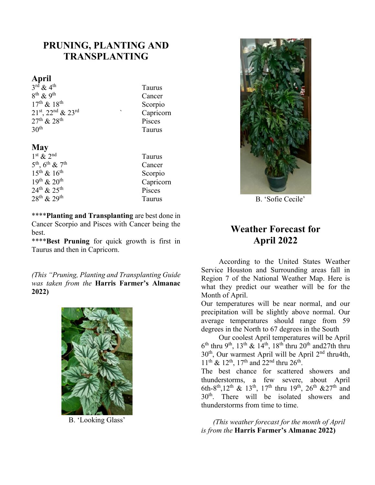# **PRUNING, PLANTING AND TRANSPLANTING**

#### **April**

 $3^{rd}$  & 4<sup>th</sup> Taurus  $8<sup>th</sup>$  & 9<sup>th</sup> Cancer  $17^{\text{th}} \& 18^{\text{th}}$ <br>  $21^{\text{st}}$ ,  $22^{\text{nd}} \& 23^{\text{rd}}$ <br>
Scorpio Capricorn  $21^{st}$ ,  $22^{nd}$  &  $23^{rd}$  $27<sup>th</sup> \& 28<sup>th</sup>$  Pisces<br>30<sup>th</sup> Taurus

#### **May**

1 st & 2nd Taurus  $5<sup>th</sup>$ ,  $6<sup>th</sup>$  &  $7<sup>th</sup>$  Cancer  $15<sup>th</sup>$  &  $16<sup>th</sup>$  Scorpio

**Taurus** 

 $19<sup>th</sup>$  &  $20<sup>th</sup>$  Capricorn  $24^{\text{th}} \& 25^{\text{th}}$  Pisces  $28^{\text{th}} \& 29^{\text{th}}$  Taurus \*\*\*\***Planting and Transplanting** are best done in

Cancer Scorpio and Pisces with Cancer being the best.

\*\*\*\***Best Pruning** for quick growth is first in Taurus and then in Capricorn.

*(This "Pruning, Planting and Transplanting Guide was taken from the* **Harris Farmer's Almanac 2022)**



B. 'Looking Glass'



B. 'Sofie Cecile'

# **Weather Forecast for April 2022**

According to the United States Weather Service Houston and Surrounding areas fall in Region 7 of the National Weather Map. Here is what they predict our weather will be for the Month of April.

Our temperatures will be near normal, and our precipitation will be slightly above normal. Our average temperatures should range from 59 degrees in the North to 67 degrees in the South

Our coolest April temperatures will be April  $6^{\text{th}}$  thru 9<sup>th</sup>, 13<sup>th</sup> & 14<sup>th</sup>, 18<sup>th</sup> thru 20<sup>th</sup> and27th thru  $30<sup>th</sup>$ , Our warmest April will be April  $2<sup>nd</sup>$  thru4th,  $11^{\text{th}}$  &  $12^{\text{th}}$ ,  $17^{\text{th}}$  and  $22^{\text{nd}}$  thru  $26^{\text{th}}$ .

The best chance for scattered showers and thunderstorms, a few severe, about April 6th-8<sup>th</sup>,12<sup>th</sup> & 13<sup>th</sup>, 17<sup>th</sup> thru 19<sup>th</sup>, 26<sup>th</sup> &27<sup>th</sup> and 30th. There will be isolated showers and thunderstorms from time to time.

*(This weather forecast for the month of April is from the* **Harris Farmer's Almanac 2022)**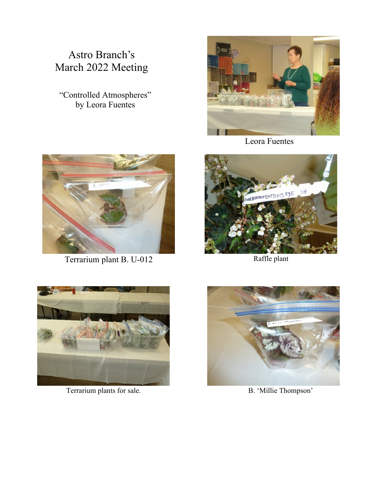# Astro Branch's March 2022 Meeting

"Controlled Atmospheres" by Leora Fuentes



Terrarium plant B. U-012 Raffle plant



Leora Fuentes





Terrarium plants for sale. B. 'Millie Thompson'